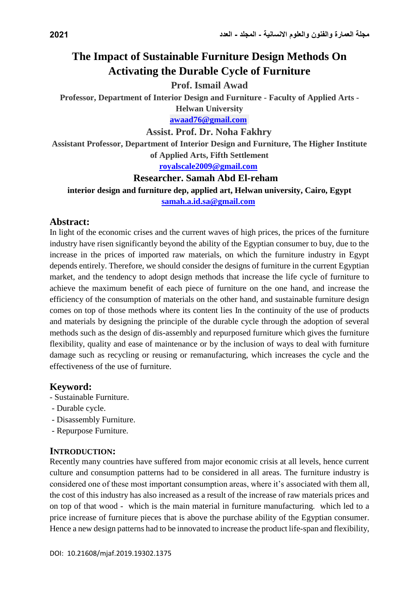# **The Impact of Sustainable Furniture Design Methods On Activating the Durable Cycle of Furniture**

#### **Prof. Ismail Awad**

**Professor, Department of Interior Design and Furniture - Faculty of Applied Arts -**

**Helwan University [awaad76@gmail.com](mailto:awaad76@gmail.com)**

**Assist. Prof. Dr. Noha Fakhry**

**Assistant Professor, Department of Interior Design and Furniture, The Higher Institute of Applied Arts, Fifth Settlement**

**[royalscale2009@gmail.com](mailto:royalscale2009@gmail.com)**

#### **Researcher. Samah Abd El-reham**

**interior design and furniture dep, applied art, Helwan university, Cairo, Egypt [samah.a.id.sa@gmail.com](mailto:samah.a.id.sa@gmail.com)**

#### **Abstract:**

In light of the economic crises and the current waves of high prices, the prices of the furniture industry have risen significantly beyond the ability of the Egyptian consumer to buy, due to the increase in the prices of imported raw materials, on which the furniture industry in Egypt depends entirely. Therefore, we should consider the designs of furniture in the current Egyptian market, and the tendency to adopt design methods that increase the life cycle of furniture to achieve the maximum benefit of each piece of furniture on the one hand, and increase the efficiency of the consumption of materials on the other hand, and sustainable furniture design comes on top of those methods where its content lies In the continuity of the use of products and materials by designing the principle of the durable cycle through the adoption of several methods such as the design of dis-assembly and repurposed furniture which gives the furniture flexibility, quality and ease of maintenance or by the inclusion of ways to deal with furniture damage such as recycling or reusing or remanufacturing, which increases the cycle and the effectiveness of the use of furniture.

#### **Keyword:**

- Sustainable Furniture.
- Durable cycle.
- Disassembly Furniture.
- Repurpose Furniture.

#### **INTRODUCTION:**

Recently many countries have suffered from major economic crisis at all levels, hence current culture and consumption patterns had to be considered in all areas. The furniture industry is considered one of these most important consumption areas, where it's associated with them all, the cost of this industry has also increased as a result of the increase of raw materials prices and on top of that wood - which is the main material in furniture manufacturing. which led to a price increase of furniture pieces that is above the purchase ability of the Egyptian consumer. Hence a new design patterns had to be innovated to increase the product life-span and flexibility,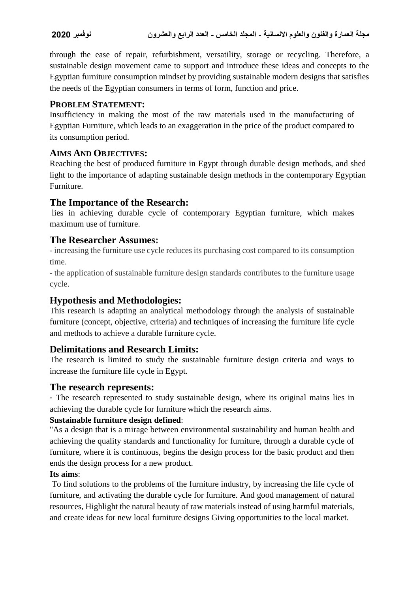through the ease of repair, refurbishment, versatility, storage or recycling. Therefore, a sustainable design movement came to support and introduce these ideas and concepts to the Egyptian furniture consumption mindset by providing sustainable modern designs that satisfies the needs of the Egyptian consumers in terms of form, function and price.

#### **PROBLEM STATEMENT:**

Insufficiency in making the most of the raw materials used in the manufacturing of Egyptian Furniture, which leads to an exaggeration in the price of the product compared to its consumption period.

### **AIMS AND OBJECTIVES:**

Reaching the best of produced furniture in Egypt through durable design methods, and shed light to the importance of adapting sustainable design methods in the contemporary Egyptian Furniture.

## **The Importance of the Research:**

lies in achieving durable cycle of contemporary Egyptian furniture, which makes maximum use of furniture.

## **The Researcher Assumes:**

- increasing the furniture use cycle reduces its purchasing cost compared to its consumption time.

- the application of sustainable furniture design standards contributes to the furniture usage cycle.

## **Hypothesis and Methodologies:**

This research is adapting an analytical methodology through the analysis of sustainable furniture (concept, objective, criteria) and techniques of increasing the furniture life cycle and methods to achieve a durable furniture cycle.

## **Delimitations and Research Limits:**

The research is limited to study the sustainable furniture design criteria and ways to increase the furniture life cycle in Egypt.

## **The research represents:**

- The research represented to study sustainable design, where its original mains lies in achieving the durable cycle for furniture which the research aims.

#### **Sustainable furniture design defined**:

"As a design that is a mirage between environmental sustainability and human health and achieving the quality standards and functionality for furniture, through a durable cycle of furniture, where it is continuous, begins the design process for the basic product and then ends the design process for a new product.

#### **Its aims**:

To find solutions to the problems of the furniture industry, by increasing the life cycle of furniture, and activating the durable cycle for furniture. And good management of natural resources, Highlight the natural beauty of raw materials instead of using harmful materials, and create ideas for new local furniture designs Giving opportunities to the local market.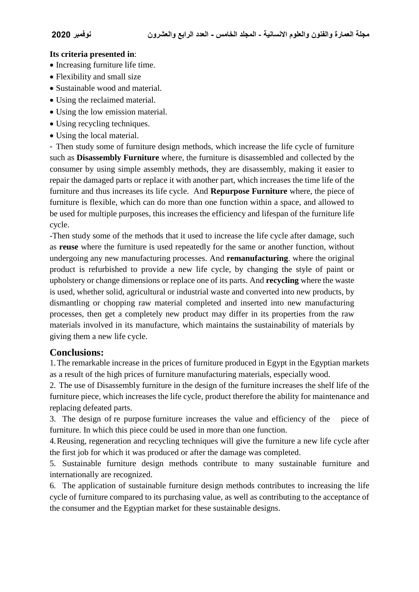#### **Its criteria presented in**:

- Increasing furniture life time.
- Flexibility and small size
- Sustainable wood and material.
- Using the reclaimed material.
- Using the low emission material.
- Using recycling techniques.
- Using the local material.

- Then study some of furniture design methods, which increase the life cycle of furniture such as **Disassembly Furniture** where, the furniture is disassembled and collected by the consumer by using simple assembly methods, they are disassembly, making it easier to repair the damaged parts or replace it with another part, which increases the time life of the furniture and thus increases its life cycle. And **Repurpose Furniture** where, the piece of furniture is flexible, which can do more than one function within a space, and allowed to be used for multiple purposes, this increases the efficiency and lifespan of the furniture life cycle.

-Then study some of the methods that it used to increase the life cycle after damage, such as **reuse** where the furniture is used repeatedly for the same or another function, without undergoing any new manufacturing processes. And **remanufacturing**. where the original product is refurbished to provide a new life cycle, by changing the style of paint or upholstery or change dimensions or replace one of its parts. And **recycling** where the waste is used, whether solid, agricultural or industrial waste and converted into new products, by dismantling or chopping raw material completed and inserted into new manufacturing processes, then get a completely new product may differ in its properties from the raw materials involved in its manufacture, which maintains the sustainability of materials by giving them a new life cycle.

#### **Conclusions:**

1.The remarkable increase in the prices of furniture produced in Egypt in the Egyptian markets as a result of the high prices of furniture manufacturing materials, especially wood.

2. The use of Disassembly furniture in the design of the furniture increases the shelf life of the furniture piece, which increases the life cycle, product therefore the ability for maintenance and replacing defeated parts.

3. The design of re purpose furniture increases the value and efficiency of the piece of furniture. In which this piece could be used in more than one function.

4.Reusing, regeneration and recycling techniques will give the furniture a new life cycle after the first job for which it was produced or after the damage was completed.

5. Sustainable furniture design methods contribute to many sustainable furniture and internationally are recognized.

6. The application of sustainable furniture design methods contributes to increasing the life cycle of furniture compared to its purchasing value, as well as contributing to the acceptance of the consumer and the Egyptian market for these sustainable designs.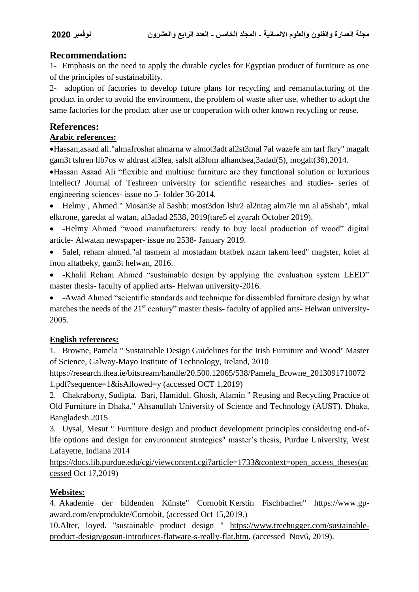## **Recommendation:**

1- Emphasis on the need to apply the durable cycles for Egyptian product of furniture as one of the principles of sustainability.

2- adoption of factories to develop future plans for recycling and remanufacturing of the product in order to avoid the environment, the problem of waste after use, whether to adopt the same factories for the product after use or cooperation with other known recycling or reuse.

## **References:**

### **Arabic references:**

Hassan,asaad ali."almafroshat almarna w almot3adt al2st3mal 7al wazefe am tarf fkry" magalt gam3t tshren llb7os w aldrast al3lea, salslt al3lom alhandsea,3adad(5), mogalt(36),2014.

Hassan Asaad Ali "flexible and multiuse furniture are they functional solution or luxurious intellect? Journal of Teshreen university for scientific researches and studies- series of engineering sciences- issue no 5- folder 36-2014.

 Helmy , Ahmed." Mosan3e al 5ashb: most3don lshr2 al2ntag alm7le mn al a5shab", mkal elktrone, garedat al watan, al3adad 2538, 2019(tare5 el zyarah October 2019).

- -Helmy Ahmed "wood manufacturers: ready to buy local production of wood" digital article- Alwatan newspaper- issue no 2538- January 2019.
- 5alel, reham ahmed."al tasmem al mostadam btatbek nzam takem leed" magster, kolet al fnon altatbeky, gam3t helwan, 2016.
- -Khalil Reham Ahmed "sustainable design by applying the evaluation system LEED" master thesis- faculty of applied arts- Helwan university-2016.

 -Awad Ahmed "scientific standards and technique for dissembled furniture design by what matches the needs of the 21<sup>st</sup> century" master thesis-faculty of applied arts-Helwan university-2005.

#### **English references:**

1. Browne, Pamela " Sustainable Design Guidelines for the Irish Furniture and Wood" Master of Science, Galway-Mayo Institute of Technology, Ireland, 2010

[https://research.thea.ie/bitstream/handle/20.500.12065/538/Pamela\\_Browne\\_2013091710072](https://research.thea.ie/bitstream/handle/20.500.12065/538/Pamela_Browne_20130917100721.pdf?sequence=1&isAllowed=y) [1.pdf?sequence=1&isAllowed=y](https://research.thea.ie/bitstream/handle/20.500.12065/538/Pamela_Browne_20130917100721.pdf?sequence=1&isAllowed=y) (accessed OCT 1,2019)

2. Chakraborty, Sudipta. Bari, Hamidul. Ghosh, Alamin " Reusing and Recycling Practice of Old Furniture in Dhaka." Ahsanullah University of Science and Technology (AUST). Dhaka, Bangladesh.2015

3. Uysal, Mesut " Furniture design and product development principles considering end-oflife options and design for environment strategies" master's thesis, Purdue University, West Lafayette, Indiana 2014

[https://docs.lib.purdue.edu/cgi/viewcontent.cgi?article=1733&context=open\\_access\\_theses\(ac](https://docs.lib.purdue.edu/cgi/viewcontent.cgi?article=1733&context=open_access_theses(accessed) [cessed](https://docs.lib.purdue.edu/cgi/viewcontent.cgi?article=1733&context=open_access_theses(accessed) Oct 17,2019)

#### **Websites:**

4. Akademie der bildenden Künste" Cornobit Kerstin Fischbacher" [https://www.gp](https://www.gp-award.com/en/produkte/Cornobit)[award.com/en/produkte/Cornobit,](https://www.gp-award.com/en/produkte/Cornobit) (accessed Oct 15,2019.)

10.Alter, loyed. "sustainable product design " [https://www.treehugger.com/sustainable](https://www.treehugger.com/sustainable-product-design/gosun-introduces-flatware-s-really-flat.htm)[product-design/gosun-introduces-flatware-s-really-flat.htm,](https://www.treehugger.com/sustainable-product-design/gosun-introduces-flatware-s-really-flat.htm) (accessed Nov6, 2019).